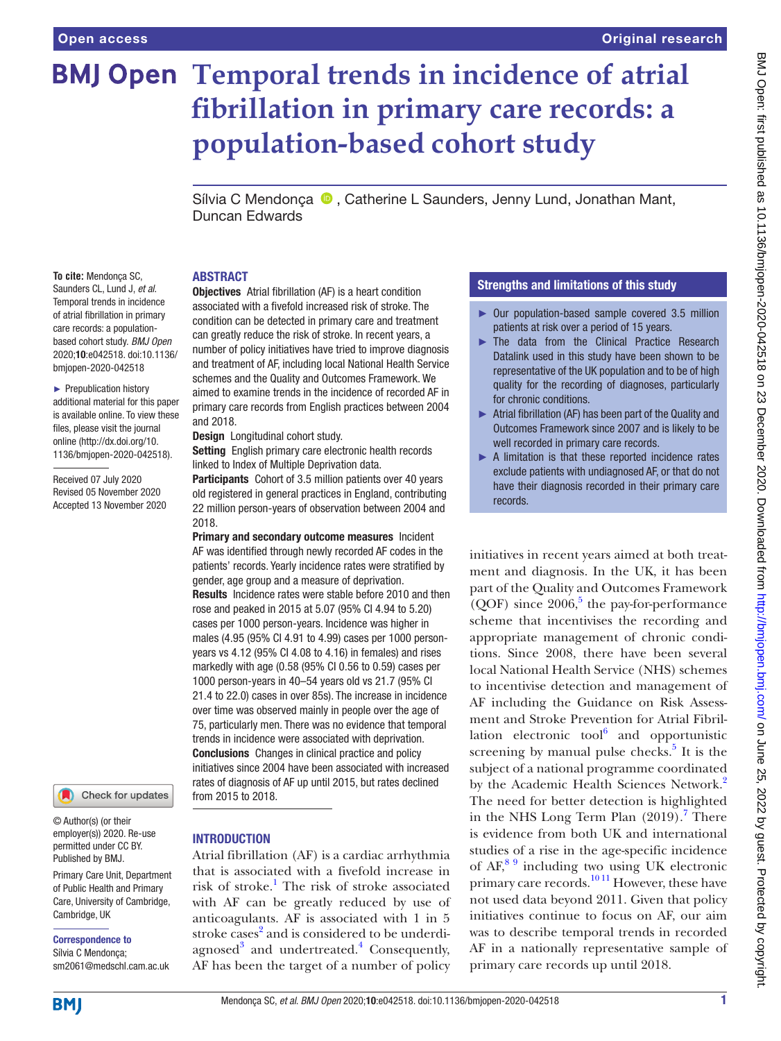# **BMJ Open Temporal trends in incidence of atrial fibrillation in primary care records: a population-based cohort study**

SílviaC Mendonça (D), Catherine L Saunders, Jenny Lund, Jonathan Mant, Duncan Edwards

## ABSTRACT

**To cite:** Mendonça SC, Saunders CL, Lund J, *et al*. Temporal trends in incidence of atrial fibrillation in primary care records: a populationbased cohort study. *BMJ Open* 2020;10:e042518. doi:10.1136/ bmjopen-2020-042518

► Prepublication history additional material for this paper is available online. To view these files, please visit the journal online (http://dx.doi.org/10. 1136/bmjopen-2020-042518).

Received 07 July 2020 Revised 05 November 2020 Accepted 13 November 2020



© Author(s) (or their employer(s)) 2020. Re-use permitted under CC BY. Published by BMJ.

Primary Care Unit, Department of Public Health and Primary Care, University of Cambridge, Cambridge, UK

Correspondence to

Sílvia C Mendonça; sm2061@medschl.cam.ac.uk

**Objectives** Atrial fibrillation (AF) is a heart condition associated with a fivefold increased risk of stroke. The condition can be detected in primary care and treatment can greatly reduce the risk of stroke. In recent years, a number of policy initiatives have tried to improve diagnosis and treatment of AF, including local National Health Service schemes and the Quality and Outcomes Framework. We aimed to examine trends in the incidence of recorded AF in primary care records from English practices between 2004 and 2018.

Design Longitudinal cohort study.

Setting English primary care electronic health records linked to Index of Multiple Deprivation data.

Participants Cohort of 3.5 million patients over 40 years old registered in general practices in England, contributing 22 million person-years of observation between 2004 and 2018.

Primary and secondary outcome measures Incident AF was identified through newly recorded AF codes in the patients' records. Yearly incidence rates were stratified by gender, age group and a measure of deprivation. Results Incidence rates were stable before 2010 and then rose and peaked in 2015 at 5.07 (95% CI 4.94 to 5.20) cases per 1000 person-years. Incidence was higher in males (4.95 (95% CI 4.91 to 4.99) cases per 1000 personyears vs 4.12 (95% CI 4.08 to 4.16) in females) and rises markedly with age (0.58 (95% CI 0.56 to 0.59) cases per 1000 person-years in 40–54 years old vs 21.7 (95% CI 21.4 to 22.0) cases in over 85s). The increase in incidence over time was observed mainly in people over the age of 75, particularly men. There was no evidence that temporal trends in incidence were associated with deprivation. Conclusions Changes in clinical practice and policy initiatives since 2004 have been associated with increased rates of diagnosis of AF up until 2015, but rates declined from 2015 to 2018.

## INTRODUCTION

Atrial fibrillation (AF) is a cardiac arrhythmia that is associated with a fivefold increase in risk of stroke.<sup>[1](#page-5-0)</sup> The risk of stroke associated with AF can be greatly reduced by use of anticoagulants. AF is associated with 1 in 5 stroke cases<sup>[2](#page-5-1)</sup> and is considered to be underdi-agnosed<sup>[3](#page-5-2)</sup> and undertreated.<sup>[4](#page-5-3)</sup> Consequently, AF has been the target of a number of policy

# Strengths and limitations of this study

- ► Our population-based sample covered 3.5 million patients at risk over a period of 15 years.
- ► The data from the Clinical Practice Research Datalink used in this study have been shown to be representative of the UK population and to be of high quality for the recording of diagnoses, particularly for chronic conditions.
- ► Atrial fibrillation (AF) has been part of the Quality and Outcomes Framework since 2007 and is likely to be well recorded in primary care records.
- ► A limitation is that these reported incidence rates exclude patients with undiagnosed AF, or that do not have their diagnosis recorded in their primary care records.

initiatives in recent years aimed at both treatment and diagnosis. In the UK, it has been part of the Quality and Outcomes Framework  $(QOF)$  since 2006,<sup>5</sup> the pay-for-performance scheme that incentivises the recording and appropriate management of chronic conditions. Since 2008, there have been several local National Health Service (NHS) schemes to incentivise detection and management of AF including the Guidance on Risk Assessment and Stroke Prevention for Atrial Fibrillation electronic tool $^{6}$  and opportunistic screening by manual pulse checks. $5$  It is the subject of a national programme coordinated by the Academic Health Sciences Network.<sup>2</sup> The need for better detection is highlighted in the NHS Long Term Plan (2019).<sup>[7](#page-5-6)</sup> There is evidence from both UK and international studies of a rise in the age-specific incidence of  $AF<sup>89</sup>$  including two using UK electronic primary care records.<sup>10 11</sup> However, these have not used data beyond 2011. Given that policy initiatives continue to focus on AF, our aim was to describe temporal trends in recorded AF in a nationally representative sample of primary care records up until 2018.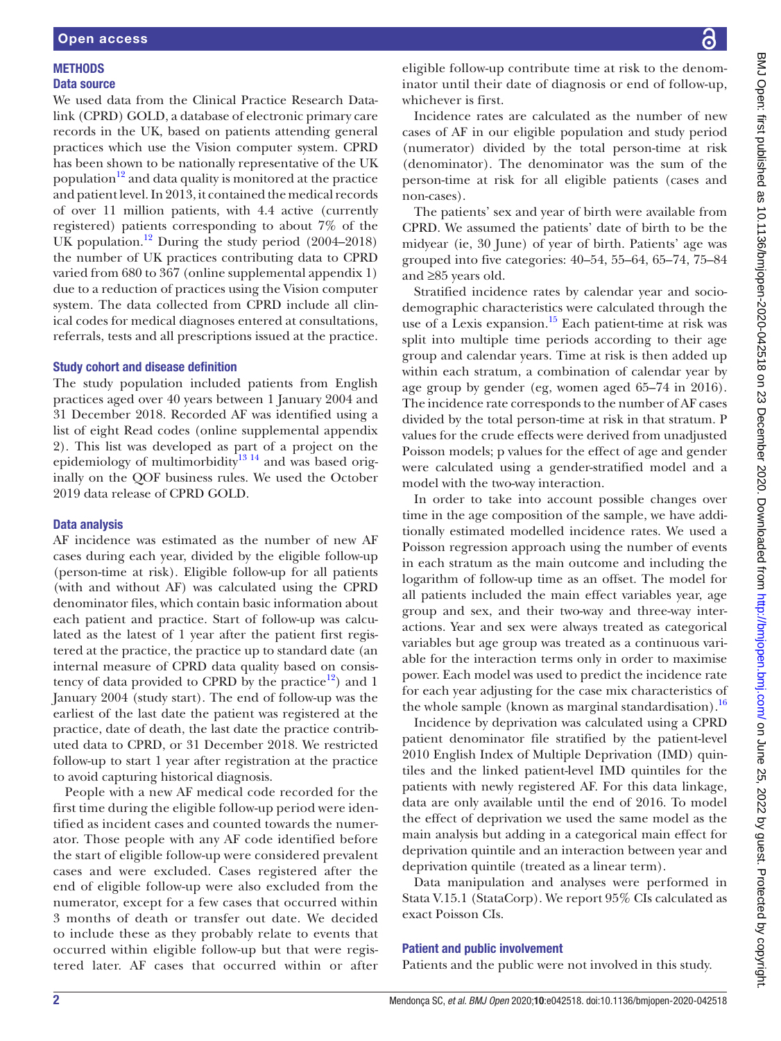## **METHODS** Data source

We used data from the Clinical Practice Research Datalink (CPRD) GOLD, a database of electronic primary care records in the UK, based on patients attending general practices which use the Vision computer system. CPRD has been shown to be nationally representative of the UK population<sup>12</sup> and data quality is monitored at the practice and patient level. In 2013, it contained the medical records of over 11 million patients, with 4.4 active (currently registered) patients corresponding to about 7% of the UK population.<sup>[12](#page-5-9)</sup> During the study period  $(2004–2018)$ the number of UK practices contributing data to CPRD varied from 680 to 367 ([online supplemental appendix 1\)](https://dx.doi.org/10.1136/bmjopen-2020-042518) due to a reduction of practices using the Vision computer system. The data collected from CPRD include all clinical codes for medical diagnoses entered at consultations, referrals, tests and all prescriptions issued at the practice.

## Study cohort and disease definition

The study population included patients from English practices aged over 40 years between 1 January 2004 and 31 December 2018. Recorded AF was identified using a list of eight Read codes ([online supplemental appendix](https://dx.doi.org/10.1136/bmjopen-2020-042518) [2\)](https://dx.doi.org/10.1136/bmjopen-2020-042518). This list was developed as part of a project on the epidemiology of multimorbidity<sup>13 14</sup> and was based originally on the QOF business rules. We used the October 2019 data release of CPRD GOLD.

## Data analysis

AF incidence was estimated as the number of new AF cases during each year, divided by the eligible follow-up (person-time at risk). Eligible follow-up for all patients (with and without AF) was calculated using the CPRD denominator files, which contain basic information about each patient and practice. Start of follow-up was calculated as the latest of 1 year after the patient first registered at the practice, the practice up to standard date (an internal measure of CPRD data quality based on consistency of data provided to CPRD by the practice<sup>12</sup>) and 1 January 2004 (study start). The end of follow-up was the earliest of the last date the patient was registered at the practice, date of death, the last date the practice contributed data to CPRD, or 31 December 2018. We restricted follow-up to start 1 year after registration at the practice to avoid capturing historical diagnosis.

People with a new AF medical code recorded for the first time during the eligible follow-up period were identified as incident cases and counted towards the numerator. Those people with any AF code identified before the start of eligible follow-up were considered prevalent cases and were excluded. Cases registered after the end of eligible follow-up were also excluded from the numerator, except for a few cases that occurred within 3 months of death or transfer out date. We decided to include these as they probably relate to events that occurred within eligible follow-up but that were registered later. AF cases that occurred within or after

eligible follow-up contribute time at risk to the denominator until their date of diagnosis or end of follow-up, whichever is first.

Incidence rates are calculated as the number of new cases of AF in our eligible population and study period (numerator) divided by the total person-time at risk (denominator). The denominator was the sum of the person-time at risk for all eligible patients (cases and non-cases).

The patients' sex and year of birth were available from CPRD. We assumed the patients' date of birth to be the midyear (ie, 30 June) of year of birth. Patients' age was grouped into five categories: 40–54, 55–64, 65–74, 75–84 and ≥85 years old.

Stratified incidence rates by calendar year and sociodemographic characteristics were calculated through the use of a Lexis expansion.<sup>[15](#page-5-11)</sup> Each patient-time at risk was split into multiple time periods according to their age group and calendar years. Time at risk is then added up within each stratum, a combination of calendar year by age group by gender (eg, women aged 65–74 in 2016). The incidence rate corresponds to the number of AF cases divided by the total person-time at risk in that stratum. P values for the crude effects were derived from unadjusted Poisson models; p values for the effect of age and gender were calculated using a gender-stratified model and a model with the two-way interaction.

In order to take into account possible changes over time in the age composition of the sample, we have additionally estimated modelled incidence rates. We used a Poisson regression approach using the number of events in each stratum as the main outcome and including the logarithm of follow-up time as an offset. The model for all patients included the main effect variables year, age group and sex, and their two-way and three-way interactions. Year and sex were always treated as categorical variables but age group was treated as a continuous variable for the interaction terms only in order to maximise power. Each model was used to predict the incidence rate for each year adjusting for the case mix characteristics of the whole sample (known as marginal standardisation).<sup>[16](#page-5-12)</sup>

Incidence by deprivation was calculated using a CPRD patient denominator file stratified by the patient-level 2010 English Index of Multiple Deprivation (IMD) quintiles and the linked patient-level IMD quintiles for the patients with newly registered AF. For this data linkage, data are only available until the end of 2016. To model the effect of deprivation we used the same model as the main analysis but adding in a categorical main effect for deprivation quintile and an interaction between year and deprivation quintile (treated as a linear term).

Data manipulation and analyses were performed in Stata V.15.1 (StataCorp). We report 95% CIs calculated as exact Poisson CIs.

### Patient and public involvement

Patients and the public were not involved in this study.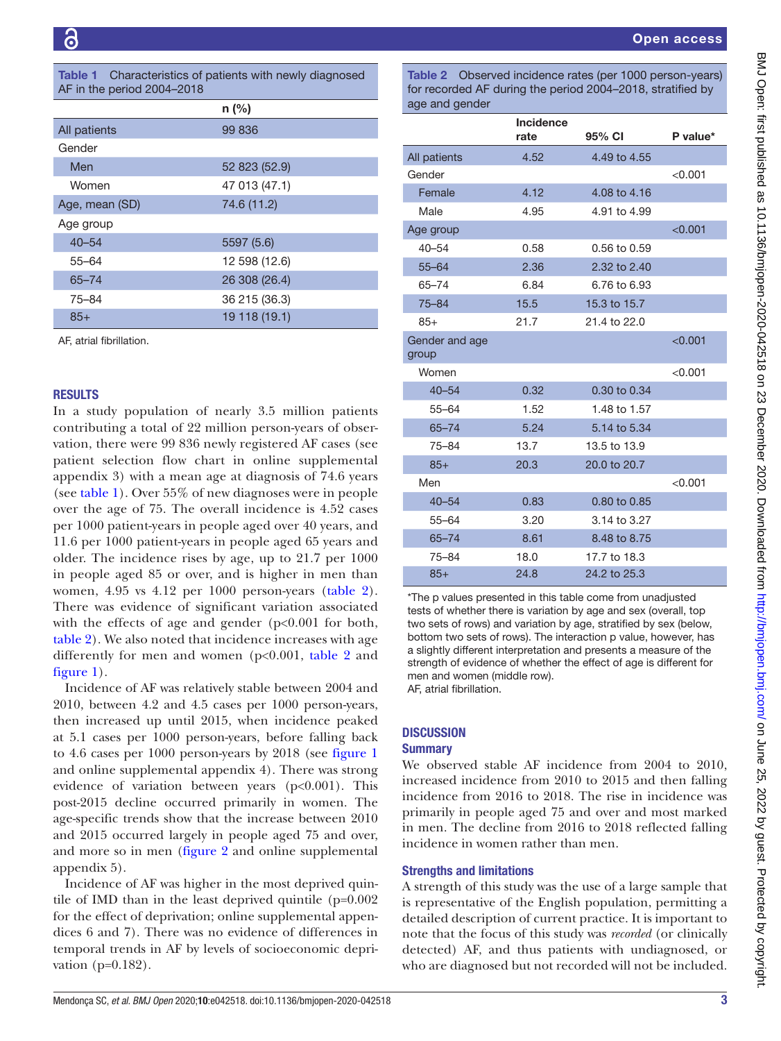<span id="page-2-0"></span>

| <b>Table 1</b> Characteristics of patients with newly diagnosed |
|-----------------------------------------------------------------|
| AF in the period 2004-2018                                      |

|                | $n$ (%)       |
|----------------|---------------|
| All patients   | 99 836        |
| Gender         |               |
| Men            | 52 823 (52.9) |
| Women          | 47 013 (47.1) |
| Age, mean (SD) | 74.6 (11.2)   |
| Age group      |               |
| $40 - 54$      | 5597 (5.6)    |
| $55 - 64$      | 12 598 (12.6) |
| $65 - 74$      | 26 308 (26.4) |
| 75-84          | 36 215 (36.3) |
| $85+$          | 19 118 (19.1) |

AF, atrial fibrillation.

### RESULTS

In a study population of nearly 3.5 million patients contributing a total of 22 million person-years of observation, there were 99 836 newly registered AF cases (see patient selection flow chart in [online supplemental](https://dx.doi.org/10.1136/bmjopen-2020-042518) [appendix 3](https://dx.doi.org/10.1136/bmjopen-2020-042518)) with a mean age at diagnosis of 74.6 years (see [table](#page-2-0) 1). Over 55% of new diagnoses were in people over the age of 75. The overall incidence is 4.52 cases per 1000 patient-years in people aged over 40 years, and 11.6 per 1000 patient-years in people aged 65 years and older. The incidence rises by age, up to 21.7 per 1000 in people aged 85 or over, and is higher in men than women, 4.95 vs 4.12 per 1000 person-years [\(table](#page-2-1) 2). There was evidence of significant variation associated with the effects of age and gender  $(p<0.001$  for both, [table](#page-2-1) 2). We also noted that incidence increases with age differently for men and women (p<0.001, [table](#page-2-1) 2 and [figure](#page-3-0) 1).

Incidence of AF was relatively stable between 2004 and 2010, between 4.2 and 4.5 cases per 1000 person-years, then increased up until 2015, when incidence peaked at 5.1 cases per 1000 person-years, before falling back to 4.6 cases per 1000 person-years by 2018 (see [figure](#page-3-0) 1 and [online supplemental appendix 4](https://dx.doi.org/10.1136/bmjopen-2020-042518)). There was strong evidence of variation between years (p<0.001). This post-2015 decline occurred primarily in women. The age-specific trends show that the increase between 2010 and 2015 occurred largely in people aged 75 and over, and more so in men [\(figure](#page-3-1) 2 and [online supplemental](https://dx.doi.org/10.1136/bmjopen-2020-042518) [appendix 5](https://dx.doi.org/10.1136/bmjopen-2020-042518)).

Incidence of AF was higher in the most deprived quintile of IMD than in the least deprived quintile (p=0.002 for the effect of deprivation; [online supplemental appen](https://dx.doi.org/10.1136/bmjopen-2020-042518)[dices 6 and 7\)](https://dx.doi.org/10.1136/bmjopen-2020-042518). There was no evidence of differences in temporal trends in AF by levels of socioeconomic deprivation (p=0.182).

<span id="page-2-1"></span>Table 2 Observed incidence rates (per 1000 person-years) for recorded AF during the period 2004–2018, stratified by age and gender

|                         | <b>Incidence</b><br>rate | 95% CI       | P value* |
|-------------------------|--------------------------|--------------|----------|
| All patients            | 4.52                     | 4.49 to 4.55 |          |
| Gender                  |                          |              | < 0.001  |
| Female                  | 4.12                     | 4.08 to 4.16 |          |
| Male                    | 4.95                     | 4.91 to 4.99 |          |
| Age group               |                          |              | < 0.001  |
| $40 - 54$               | 0.58                     | 0.56 to 0.59 |          |
| $55 - 64$               | 2.36                     | 2.32 to 2.40 |          |
| 65-74                   | 6.84                     | 6.76 to 6.93 |          |
| $75 - 84$               | 15.5                     | 15.3 to 15.7 |          |
| $85+$                   | 21.7                     | 21.4 to 22.0 |          |
| Gender and age<br>group |                          |              | < 0.001  |
| Women                   |                          |              | < 0.001  |
| $40 - 54$               | 0.32                     | 0.30 to 0.34 |          |
| $55 - 64$               | 1.52                     | 1.48 to 1.57 |          |
| $65 - 74$               | 5.24                     | 5.14 to 5.34 |          |
| $75 - 84$               | 13.7                     | 13.5 to 13.9 |          |
| $85+$                   | 20.3                     | 20.0 to 20.7 |          |
| Men                     |                          |              | < 0.001  |
| $40 - 54$               | 0.83                     | 0.80 to 0.85 |          |
| $55 - 64$               | 3.20                     | 3.14 to 3.27 |          |
| $65 - 74$               | 8.61                     | 8.48 to 8.75 |          |
| $75 - 84$               | 18.0                     | 17.7 to 18.3 |          |
| $85+$                   | 24.8                     | 24.2 to 25.3 |          |

\*The p values presented in this table come from unadjusted tests of whether there is variation by age and sex (overall, top two sets of rows) and variation by age, stratified by sex (below, bottom two sets of rows). The interaction p value, however, has a slightly different interpretation and presents a measure of the strength of evidence of whether the effect of age is different for men and women (middle row). AF, atrial fibrillation.

### **DISCUSSION**

#### **Summary**

We observed stable AF incidence from 2004 to 2010, increased incidence from 2010 to 2015 and then falling incidence from 2016 to 2018. The rise in incidence was primarily in people aged 75 and over and most marked in men. The decline from 2016 to 2018 reflected falling incidence in women rather than men.

### Strengths and limitations

A strength of this study was the use of a large sample that is representative of the English population, permitting a detailed description of current practice. It is important to note that the focus of this study was *recorded* (or clinically detected) AF, and thus patients with undiagnosed, or who are diagnosed but not recorded will not be included.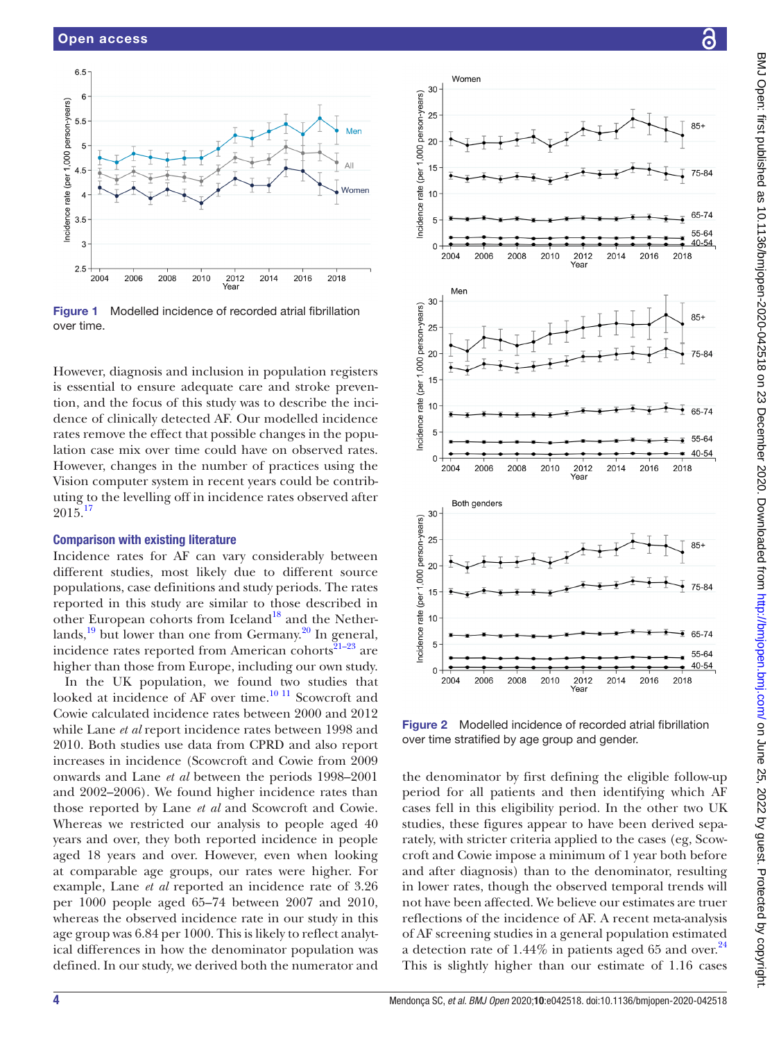

<span id="page-3-0"></span>Figure 1 Modelled incidence of recorded atrial fibrillation over time.

However, diagnosis and inclusion in population registers is essential to ensure adequate care and stroke prevention, and the focus of this study was to describe the incidence of clinically detected AF. Our modelled incidence rates remove the effect that possible changes in the population case mix over time could have on observed rates. However, changes in the number of practices using the Vision computer system in recent years could be contributing to the levelling off in incidence rates observed after  $2015^{17}$  $2015^{17}$  $2015^{17}$ 

#### Comparison with existing literature

Incidence rates for AF can vary considerably between different studies, most likely due to different source populations, case definitions and study periods. The rates reported in this study are similar to those described in other European cohorts from Iceland<sup>18</sup> and the Netherlands, $19$  but lower than one from Germany.<sup>20</sup> In general, incidence rates reported from American cohorts $21-23$  are higher than those from Europe, including our own study.

In the UK population, we found two studies that looked at incidence of AF over time.<sup>10 11</sup> Scowcroft and Cowie calculated incidence rates between 2000 and 2012 while Lane *et al* report incidence rates between 1998 and 2010. Both studies use data from CPRD and also report increases in incidence (Scowcroft and Cowie from 2009 onwards and Lane *et al* between the periods 1998–2001 and 2002–2006). We found higher incidence rates than those reported by Lane *et al* and Scowcroft and Cowie. Whereas we restricted our analysis to people aged 40 years and over, they both reported incidence in people aged 18 years and over. However, even when looking at comparable age groups, our rates were higher. For example, Lane *et al* reported an incidence rate of 3.26 per 1000 people aged 65–74 between 2007 and 2010, whereas the observed incidence rate in our study in this age group was 6.84 per 1000. This is likely to reflect analytical differences in how the denominator population was defined. In our study, we derived both the numerator and



Incidence rate (per 1,000 person-years)

Incidence rate (per 1,000 person-years)

Incidence rate (per 1,000 person-years)

 $\overline{0}$ 

2004

2006

2008

<span id="page-3-1"></span>Figure 2 Modelled incidence of recorded atrial fibrillation over time stratified by age group and gender.

2010

2012

2014

2016

the denominator by first defining the eligible follow-up period for all patients and then identifying which AF cases fell in this eligibility period. In the other two UK studies, these figures appear to have been derived separately, with stricter criteria applied to the cases (eg, Scowcroft and Cowie impose a minimum of 1 year both before and after diagnosis) than to the denominator, resulting in lower rates, though the observed temporal trends will not have been affected. We believe our estimates are truer reflections of the incidence of AF. A recent meta-analysis of AF screening studies in a general population estimated a detection rate of 1.44% in patients aged 65 and over. $^{24}$  $^{24}$  $^{24}$ This is slightly higher than our estimate of 1.16 cases

40-54

2018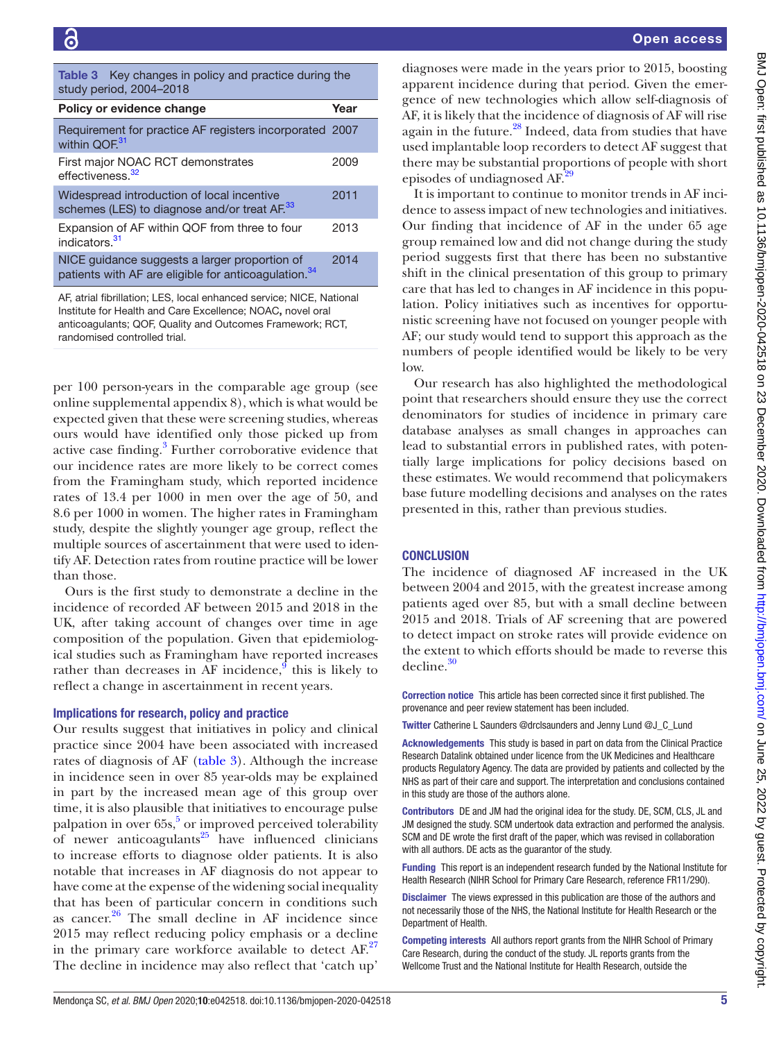<span id="page-4-0"></span>

| <b>Table 3</b> Key changes in policy and practice during the<br>study period, 2004-2018                           |      |
|-------------------------------------------------------------------------------------------------------------------|------|
| Policy or evidence change                                                                                         | Year |
| Requirement for practice AF registers incorporated 2007<br>within QOF.31                                          |      |
| First major NOAC RCT demonstrates<br>effectiveness. <sup>32</sup>                                                 | 2009 |
| Widespread introduction of local incentive<br>schemes (LES) to diagnose and/or treat AF. <sup>33</sup>            | 2011 |
| Expansion of AF within QOF from three to four<br>indicators. <sup>31</sup>                                        | 2013 |
| NICE guidance suggests a larger proportion of<br>patients with AF are eligible for anticoagulation. <sup>34</sup> | 2014 |
|                                                                                                                   |      |

AF, atrial fibrillation; LES, local enhanced service; NICE, National Institute for Health and Care Excellence; NOAC, novel oral anticoagulants; QOF, Quality and Outcomes Framework; RCT, randomised controlled trial.

per 100 person-years in the comparable age group (see [online supplemental appendix 8\)](https://dx.doi.org/10.1136/bmjopen-2020-042518), which is what would be expected given that these were screening studies, whereas ours would have identified only those picked up from active case finding.<sup>[3](#page-5-2)</sup> Further corroborative evidence that our incidence rates are more likely to be correct comes from the Framingham study, which reported incidence rates of 13.4 per 1000 in men over the age of 50, and 8.6 per 1000 in women. The higher rates in Framingham study, despite the slightly younger age group, reflect the multiple sources of ascertainment that were used to identify AF. Detection rates from routine practice will be lower than those.

Ours is the first study to demonstrate a decline in the incidence of recorded AF between 2015 and 2018 in the UK, after taking account of changes over time in age composition of the population. Given that epidemiological studies such as Framingham have reported increases rather than decreases in AF incidence,  $\int$  this is likely to reflect a change in ascertainment in recent years.

#### Implications for research, policy and practice

Our results suggest that initiatives in policy and clinical practice since 2004 have been associated with increased rates of diagnosis of AF [\(table](#page-4-0) 3). Although the increase in incidence seen in over 85 year-olds may be explained in part by the increased mean age of this group over time, it is also plausible that initiatives to encourage pulse palpation in over  $65s$ ,<sup>5</sup> or improved perceived tolerability of newer anticoagulants $^{25}$  have influenced clinicians to increase efforts to diagnose older patients. It is also notable that increases in AF diagnosis do not appear to have come at the expense of the widening social inequality that has been of particular concern in conditions such as cancer. $26$  The small decline in AF incidence since 2015 may reflect reducing policy emphasis or a decline in the primary care workforce available to detect  $AF^{27}$ The decline in incidence may also reflect that 'catch up'

diagnoses were made in the years prior to 2015, boosting apparent incidence during that period. Given the emergence of new technologies which allow self-diagnosis of AF, it is likely that the incidence of diagnosis of AF will rise again in the future.<sup>28</sup> Indeed, data from studies that have used implantable loop recorders to detect AF suggest that there may be substantial proportions of people with short episodes of undiagnosed AF.<sup>2</sup>

It is important to continue to monitor trends in AF incidence to assess impact of new technologies and initiatives. Our finding that incidence of AF in the under 65 age group remained low and did not change during the study period suggests first that there has been no substantive shift in the clinical presentation of this group to primary care that has led to changes in AF incidence in this population. Policy initiatives such as incentives for opportunistic screening have not focused on younger people with AF; our study would tend to support this approach as the numbers of people identified would be likely to be very low.

Our research has also highlighted the methodological point that researchers should ensure they use the correct denominators for studies of incidence in primary care database analyses as small changes in approaches can lead to substantial errors in published rates, with potentially large implications for policy decisions based on these estimates. We would recommend that policymakers base future modelling decisions and analyses on the rates presented in this, rather than previous studies.

### **CONCLUSION**

The incidence of diagnosed AF increased in the UK between 2004 and 2015, with the greatest increase among patients aged over 85, but with a small decline between 2015 and 2018. Trials of AF screening that are powered to detect impact on stroke rates will provide evidence on the extent to which efforts should be made to reverse this decline[.30](#page-5-25)

Correction notice This article has been corrected since it first published. The provenance and peer review statement has been included.

Twitter Catherine L Saunders [@drclsaunders](https://twitter.com/drclsaunders) and Jenny Lund [@J\\_C\\_Lund](https://twitter.com/J_C_Lund)

Acknowledgements This study is based in part on data from the Clinical Practice Research Datalink obtained under licence from the UK Medicines and Healthcare products Regulatory Agency. The data are provided by patients and collected by the NHS as part of their care and support. The interpretation and conclusions contained in this study are those of the authors alone.

Contributors DE and JM had the original idea for the study. DE, SCM, CLS, JL and JM designed the study. SCM undertook data extraction and performed the analysis. SCM and DE wrote the first draft of the paper, which was revised in collaboration with all authors. DE acts as the guarantor of the study.

Funding This report is an independent research funded by the National Institute for Health Research (NIHR School for Primary Care Research, reference FR11/290).

Disclaimer The views expressed in this publication are those of the authors and not necessarily those of the NHS, the National Institute for Health Research or the Department of Health.

Competing interests All authors report grants from the NIHR School of Primary Care Research, during the conduct of the study. JL reports grants from the Wellcome Trust and the National Institute for Health Research, outside the